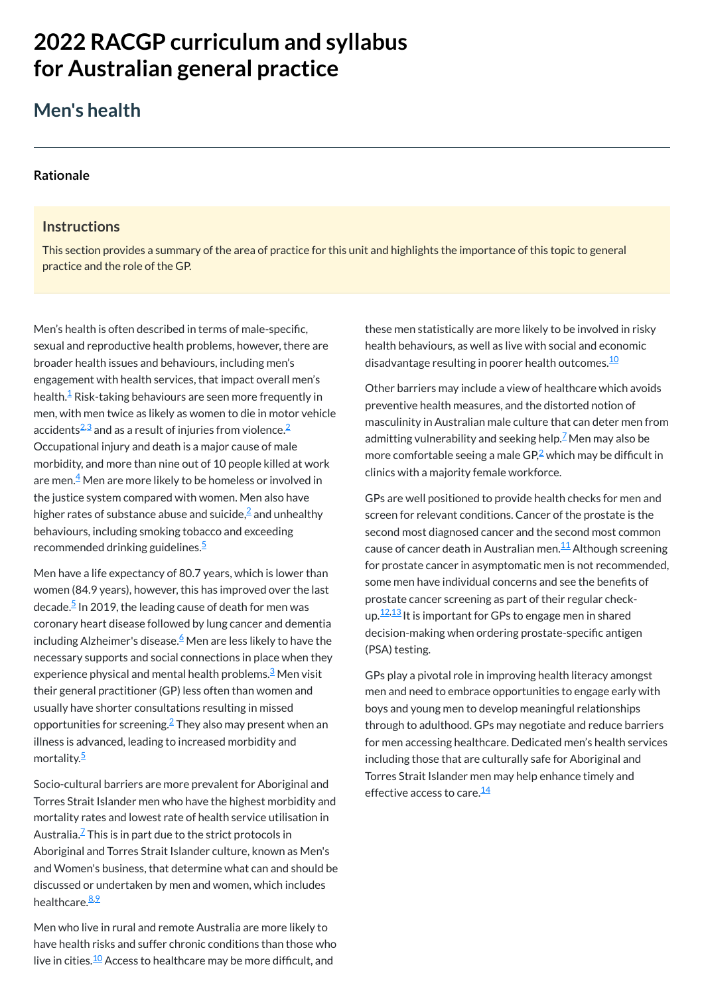# **2022 RACGP curriculum and syllabus for Australian [general practice](https://www.racgp.org.au/Curriculum-and-Syllabus/home)**

## **Men's health**

#### **[Rationale](javascript:void(0))**

#### **Instructions**

This section provides a summary of the area of practice for this unit and highlights the importance of this topic to general practice and the role of the GP.

Socio-cultural barriers are more prevalent for Aboriginal and Torres Strait Islander men who have the highest morbidity and mortality rates and lowest rate of health service utilisation in Australia. $\frac{7}{5}$  $\frac{7}{5}$  $\frac{7}{5}$  This is in part due to the strict protocols in Aboriginal and Torres Strait Islander culture, known as Men's and Women's business, that determine what can and should be discussed or undertaken by men and women, which includes healthcare.<sup>[8,](#page-1-7)2</sup>

Men who live in rural and remote Australia are more likely to have health risks and suffer chronic conditions than those who live in cities.<sup>[10](#page-1-9)</sup> Access to healthcare may be more difficult, and

these men statistically are more likely to be involved in risky health behaviours, as well as live with social and economic disadvantage resulting in poorer health outcomes. $^\mathrm{10}$  $^\mathrm{10}$  $^\mathrm{10}$ 

Men have a life expectancy of 80.7 years, which is lower than women (84.9 years), however, this has improved over the last decade.<sup>[5](#page-1-4)</sup> In 2019, the leading cause of death for men was coronary heart disease followed by lung cancer and dementia including Alzheimer's disease.<sup>[6](#page-1-5)</sup> Men are less likely to have the necessary supports and social connections in place when they experience physical and mental health problems.<sup>[3](#page-1-2)</sup> Men visit their general practitioner (GP) less often than women and usually have shorter consultations resulting in missed opportunities for screening. $^2$  $^2$  They also may present when an illness is advanced, leading to increased morbidity and

> including those that are culturally safe for Aboriginal and Torres Strait Islander men may help enhance timely and effective access to care.<sup>[14](#page-1-13)</sup>

Men's health is often described in terms of male-specific, sexual and reproductive health problems, however, there are broader health issues and behaviours, including men's engagement with health services, that impact overall men's health. $^{\underline{1}}$  $^{\underline{1}}$  $^{\underline{1}}$  Risk-taking behaviours are seen more frequently in men, with men twice as likely as women to die in motor vehicle accidents $^{\underline{2,3}}$  $^{\underline{2,3}}$  $^{\underline{2,3}}$  $^{\underline{2,3}}$  and as a result of injuries from violence. $^{\underline{2}}$  $^{\underline{2}}$  $^{\underline{2}}$ Occupational injury and death is a major cause of male morbidity, and more than nine out of 10 people killed at work are men. $\frac{4}{7}$  $\frac{4}{7}$  $\frac{4}{7}$  Men are more likely to be homeless or involved in the justice system compared with women. Men also have higher rates of substance abuse and suicide, $\frac{2}{3}$  $\frac{2}{3}$  $\frac{2}{3}$  and unhealthy behaviours, including smoking tobacco and exceeding recommended drinking guidelines. [5](#page-1-4)

Other barriers may include a view of healthcare which avoids preventive health measures, and the distorted notion of masculinity in Australian male culture that can deter men from admitting vulnerability and seeking help. $\mathbb Z$  Men may also be more comfortable seeing a male GP, $^2$  $^2$  which may be difficult in clinics with a majority female workforce.

GPs are well positioned to provide health checks for men and screen for relevant conditions. Cancer of the prostate is the second most diagnosed cancer and the second most common cause of cancer death in Australian men.<sup>[11](#page-1-10)</sup> Although screening for prostate cancer in asymptomatic men is not recommended, some men have individual concerns and see the benefits of prostate cancer screening as part of their regular check-up.<sup>[12,](#page-1-11)[13](#page-1-12)</sup> It is important for GPs to engage men in shared decision-making when ordering prostate-specific antigen (PSA) testing.

GPs play a pivotal role in improving health literacy amongst men and need to embrace opportunities to engage early with boys and young men to develop meaningful relationships through to adulthood. GPs may negotiate and reduce barriers for men accessing healthcare. Dedicated men's health services

mortality.<sup>[5](#page-1-4)</sup>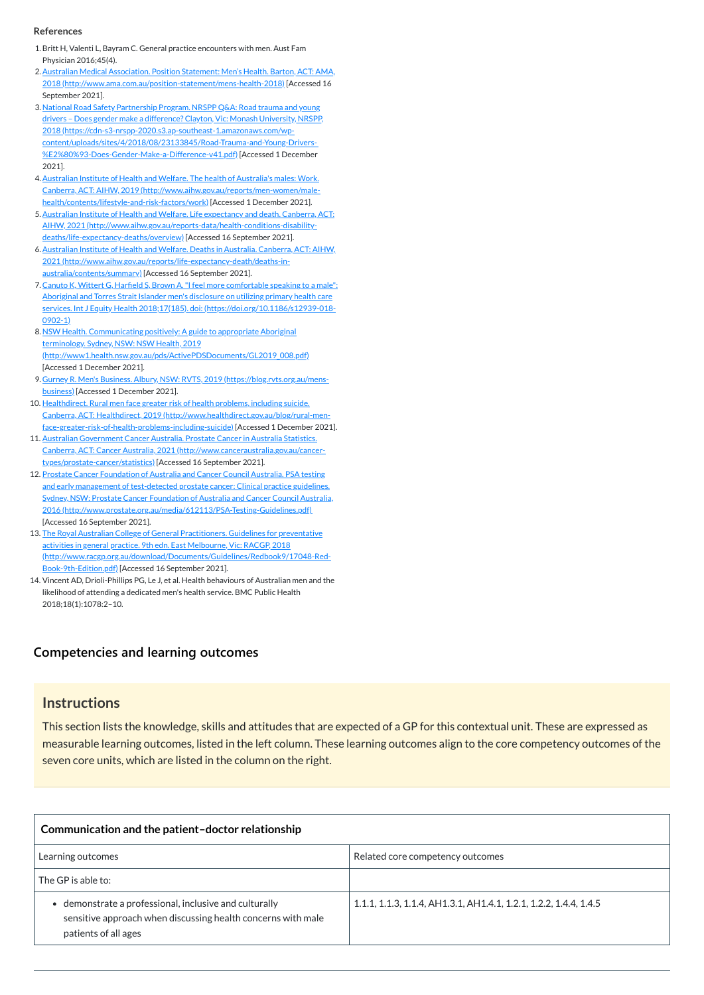#### **[Competencies and learning outcomes](javascript:void(0))**

#### **Instructions**

This section lists the knowledge, skills and attitudes that are expected of a GP for this contextual unit. These are expressed as measurable learning outcomes, listed in the left column. These learning outcomes align to the core competency outcomes of the

| Communication and the patient-doctor relationship                                                                                            |                                                                   |
|----------------------------------------------------------------------------------------------------------------------------------------------|-------------------------------------------------------------------|
| Learning outcomes                                                                                                                            | Related core competency outcomes                                  |
| The GP is able to:                                                                                                                           |                                                                   |
| demonstrate a professional, inclusive and culturally<br>sensitive approach when discussing health concerns with male<br>patients of all ages | 1.1.1, 1.1.3, 1.1.4, AH1.3.1, AH1.4.1, 1.2.1, 1.2.2, 1.4.4, 1.4.5 |

#### **References**

- <span id="page-1-0"></span>1.Britt H, Valenti L, Bayram C. General practice encounters with men. Aust Fam Physician 2016;45(4).
- <span id="page-1-1"></span>2.Australian Medical Association. Position Statement: Men's Health. Barton, ACT: AMA, 2018 [\(http://www.ama.com.au/position-statement/mens-health-2018\)](http://www.ama.com.au/position-statement/mens-health-2018) [Accessed 16 September 2021].
- <span id="page-1-2"></span>3. National Road Safety Partnership Program. NRSPP Q&A: Road trauma and young drivers – Does gender make a difference? Clayton, Vic: Monash University, NRSPP, 2018 (https://cdn-s3-nrspp-2020.s3.ap-southeast-1.amazonaws.com/wp[content/uploads/sites/4/2018/08/23133845/Road-Trauma-and-Young-Drivers-](https://cdn-s3-nrspp-2020.s3.ap-southeast-1.amazonaws.com/wp-content/uploads/sites/4/2018/08/23133845/Road-Trauma-and-Young-Drivers-%E2%80%93-Does-Gender-Make-a-Difference-v41.pdf) %E2%80%93-Does-Gender-Make-a-Difference-v41.pdf) [Accessed 1 December 2021].
- <span id="page-1-3"></span>4. Australian Institute of Health and Welfare. The health of Australia's males: Work. Canberra, ACT: AIHW, 2019 [\(http://www.aihw.gov.au/reports/men-women/male](http://www.aihw.gov.au/reports/men-women/male-health/contents/lifestyle-and-risk-factors/work)health/contents/lifestyle-and-risk-factors/work) [Accessed 1 December 2021].
- <span id="page-1-4"></span>5. Australian Institute of Health and Welfare. Life expectancy and death. Canberra, ACT: AIHW, 2021 [\(http://www.aihw.gov.au/reports-data/health-conditions-disability](http://www.aihw.gov.au/reports-data/health-conditions-disability-deaths/life-expectancy-deaths/overview)deaths/life-expectancy-deaths/overview) [Accessed 16 September 2021].
- <span id="page-1-5"></span>6. Australian Institute of Health and Welfare. Deaths in Australia. Canberra, ACT: AIHW, 2021 [\(http://www.aihw.gov.au/reports/life-expectancy-death/deaths-in](http://www.aihw.gov.au/reports/life-expectancy-death/deaths-in-australia/contents/summary)australia/contents/summary) [Accessed 16 September 2021].
- <span id="page-1-6"></span>7. Canuto K, Wittert G, Harfield S, Brown A. "I feel more comfortable speaking to a male": Aboriginal and Torres Strait Islander men's disclosure on utilizing primary health care services. Int J Equity Health 2018;17(185). doi: [\(https://doi.org/10.1186/s12939-018-](https://doi.org/10.1186/s12939-018-0902-1) 0902-1)
- <span id="page-1-7"></span>8. NSW Health. Communicating positively: A guide to appropriate Aboriginal terminology. Sydney, NSW: NSW Health, 2019 [\(http://www1.health.nsw.gov.au/pds/ActivePDSDocuments/GL2019\\_008.pdf\)](http://www1.health.nsw.gov.au/pds/ActivePDSDocuments/GL2019_008.pdf) [Accessed 1 December 2021].
- <span id="page-1-8"></span>9. Gurney R. Men's Business. Albury, NSW: RVTS, 2019 [\(https://blog.rvts.org.au/mens](https://blog.rvts.org.au/mens-business)business) [Accessed 1 December 2021].
- <span id="page-1-9"></span>10. Healthdirect. Rural men face greater risk of health problems, including suicide. Canberra, ACT: Healthdirect, 2019 (http://www.healthdirect.gov.au/blog/rural-men[face-greater-risk-of-health-problems-including-suicide\)](http://www.healthdirect.gov.au/blog/rural-men-face-greater-risk-of-health-problems-including-suicide) [Accessed 1 December 2021].
- <span id="page-1-10"></span>11. Australian Government Cancer Australia. Prostate Cancer in Australia Statistics. Canberra, ACT: Cancer Australia, 2021 [\(http://www.canceraustralia.gov.au/cancer](http://www.canceraustralia.gov.au/cancer-types/prostate-cancer/statistics)types/prostate-cancer/statistics) [Accessed 16 September 2021].
- <span id="page-1-11"></span>12. Prostate Cancer Foundation of Australia and Cancer Council Australia. PSA testing and early management of test-detected prostate cancer: Clinical practice guidelines. Sydney, NSW: Prostate Cancer Foundation of Australia and Cancer Council Australia, 2016 [\(http://www.prostate.org.au/media/612113/PSA-Testing-Guidelines.pdf\)](http://www.prostate.org.au/media/612113/PSA-Testing-Guidelines.pdf) [Accessed 16 September 2021].
- <span id="page-1-12"></span>13. The Royal Australian College of General Practitioners. Guidelines for preventative activities in general practice. 9th edn. East Melbourne, Vic: RACGP, 2018 [\(http://www.racgp.org.au/download/Documents/Guidelines/Redbook9/17048-Red-](http://www.racgp.org.au/download/Documents/Guidelines/Redbook9/17048-Red-Book-9th-Edition.pdf)Book-9th-Edition.pdf) [Accessed 16 September 2021].
- <span id="page-1-13"></span>14. Vincent AD, Drioli-Phillips PG, Le J, et al. Health behaviours of Australian men and the likelihood of attending a dedicated men's health service. BMC Public Health 2018;18(1):1078:2–10.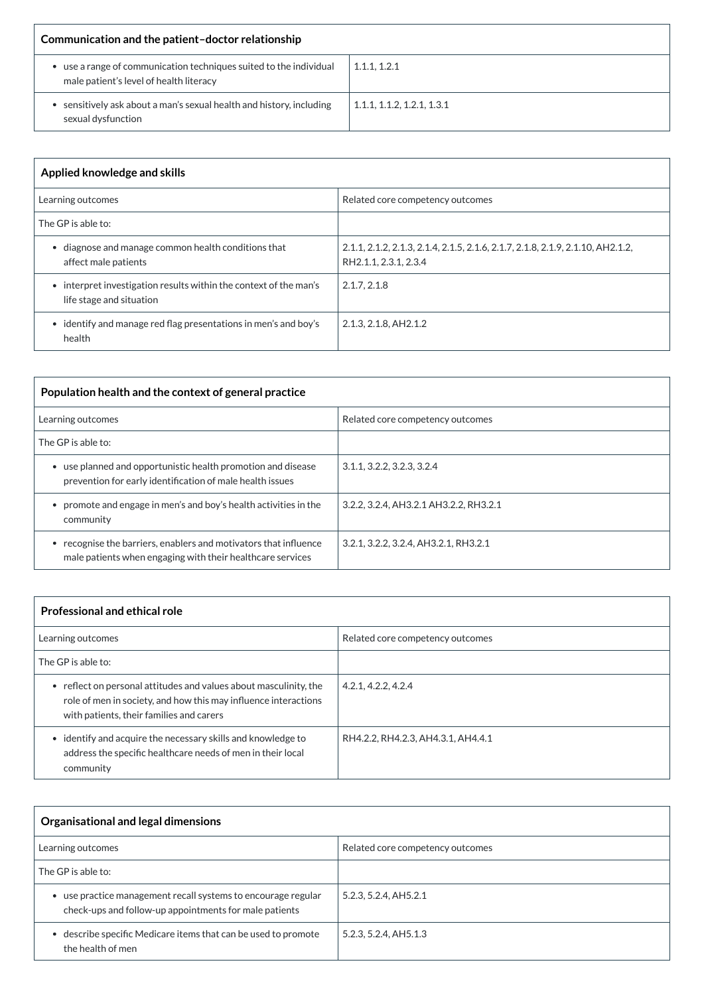| Communication and the patient-doctor relationship                                                           |                            |
|-------------------------------------------------------------------------------------------------------------|----------------------------|
| use a range of communication techniques suited to the individual<br>male patient's level of health literacy | 1.1.1, 1.2.1               |
| sensitively ask about a man's sexual health and history, including<br>sexual dysfunction                    | 1.1.1, 1.1.2, 1.2.1, 1.3.1 |

| Applied knowledge and skills                                                                  |                                                                                                          |  |
|-----------------------------------------------------------------------------------------------|----------------------------------------------------------------------------------------------------------|--|
| Learning outcomes                                                                             | Related core competency outcomes                                                                         |  |
| The GP is able to:                                                                            |                                                                                                          |  |
| • diagnose and manage common health conditions that<br>affect male patients                   | 2.1.1, 2.1.2, 2.1.3, 2.1.4, 2.1.5, 2.1.6, 2.1.7, 2.1.8, 2.1.9, 2.1.10, AH2.1.2,<br>RH2.1.1, 2.3.1, 2.3.4 |  |
| • interpret investigation results within the context of the man's<br>life stage and situation | 2.1.7, 2.1.8                                                                                             |  |
| • identify and manage red flag presentations in men's and boy's<br>health                     | 2.1.3, 2.1.8, AH2.1.2                                                                                    |  |

| Population health and the context of general practice                                                                        |                                        |  |
|------------------------------------------------------------------------------------------------------------------------------|----------------------------------------|--|
| Learning outcomes                                                                                                            | Related core competency outcomes       |  |
| The GP is able to:                                                                                                           |                                        |  |
| use planned and opportunistic health promotion and disease<br>prevention for early identification of male health issues      | 3.1.1, 3.2.2, 3.2.3, 3.2.4             |  |
| promote and engage in men's and boy's health activities in the<br>community                                                  | 3.2.2, 3.2.4, AH3.2.1 AH3.2.2, RH3.2.1 |  |
| recognise the barriers, enablers and motivators that influence<br>male patients when engaging with their healthcare services | 3.2.1, 3.2.2, 3.2.4, AH3.2.1, RH3.2.1  |  |

| <b>Professional and ethical role</b>                                                                                                                                             |                                    |
|----------------------------------------------------------------------------------------------------------------------------------------------------------------------------------|------------------------------------|
| Learning outcomes                                                                                                                                                                | Related core competency outcomes   |
| The GP is able to:                                                                                                                                                               |                                    |
| • reflect on personal attitudes and values about masculinity, the<br>role of men in society, and how this may influence interactions<br>with patients, their families and carers | 4.2.1, 4.2.2, 4.2.4                |
| • identify and acquire the necessary skills and knowledge to<br>address the specific healthcare peads of men in their local                                                      | RH4.2.2, RH4.2.3, AH4.3.1, AH4.4.1 |

| Organisational and legal dimensions                                                                                     |                                  |
|-------------------------------------------------------------------------------------------------------------------------|----------------------------------|
| Learning outcomes                                                                                                       | Related core competency outcomes |
| The GP is able to:                                                                                                      |                                  |
| • use practice management recall systems to encourage regular<br>check-ups and follow-up appointments for male patients | 5.2.3, 5.2.4, AH5.2.1            |
| • describe specific Medicare items that can be used to promote<br>the health of men                                     | 5.2.3, 5.2.4, AH5.1.3            |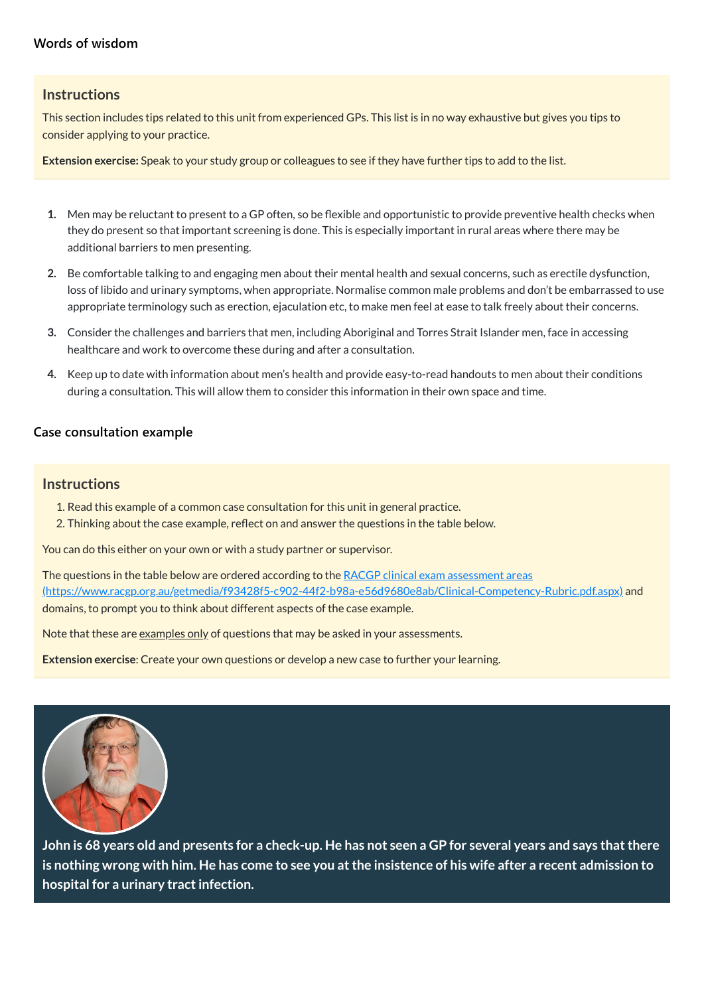#### **[Words of wisdom](javascript:void(0))**

#### **Instructions**

This section includes tips related to this unit from experienced GPs. This list is in no way exhaustive but gives you tips to consider applying to your practice.

**Extension exercise:** Speak to your study group or colleagues to see if they have further tips to add to the list.

- **1.** Men may be reluctant to present to a GP often, so be flexible and opportunistic to provide preventive health checks when they do present so that important screening is done. This is especially important in rural areas where there may be additional barriers to men presenting.
- **2.** Be comfortable talking to and engaging men about their mental health and sexual concerns, such as erectile dysfunction, loss of libido and urinary symptoms, when appropriate. Normalise common male problems and don't be embarrassed to use appropriate terminology such as erection, ejaculation etc, to make men feel at ease to talk freely about their concerns.
- **3.** Consider the challenges and barriers that men, including Aboriginal and Torres Strait Islander men, face in accessing healthcare and work to overcome these during and after a consultation.
- **4.** Keep up to date with information about men's health and provide easy-to-read handouts to men about their conditions during a consultation. This will allow them to consider this information in their own space and time.

The questions in the table below are ordered according to the RACGP clinical exam assessment areas [\(https://www.racgp.org.au/getmedia/f93428f5-c902-44f2-b98a-e56d9680e8ab/Clinical-Competency-Rubric.pdf.aspx\)](https://www.racgp.org.au/getmedia/f93428f5-c902-44f2-b98a-e56d9680e8ab/Clinical-Competency-Rubric.pdf.aspx) and domains, to prompt you to think about different aspects of the case example.

Note that these are <u>examples only</u> of questions that may be asked in your assessments.

John is 68 years old and presents for a check-up. He has not seen a GP for several years and says that there is nothing wrong with him. He has come to see you at the insistence of his wife after a recent admission to **hospital for a urinary tractinfection.**

#### **[Case consultation example](javascript:void(0))**

#### **Instructions**

- 1. Read this example of a common case consultation for this unit in general practice.
- 2. Thinking about the case example, reflect on and answer the questions in the table below.

You can do this either on your own or with a study partner or supervisor.

**Extension exercise**: Create your own questions or develop a new case to further your learning.

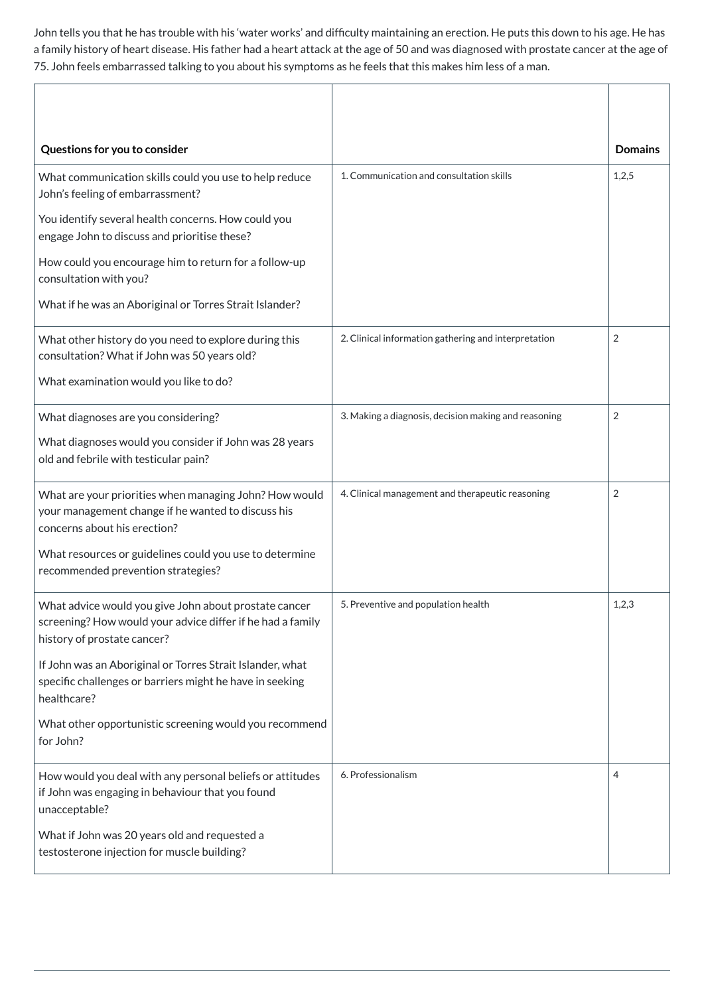John tells you that he has trouble with his 'water works' and difficulty maintaining an erection. He puts this down to his age. He has a family history of heart disease. His father had a heart attack at the age of 50 and was diagnosed with prostate cancer at the age of 75. John feels embarrassed talking to you about his symptoms as he feels that this makes him less of a man.

| Questions for you to consider                                                                                                                      |                                                      | <b>Domains</b> |
|----------------------------------------------------------------------------------------------------------------------------------------------------|------------------------------------------------------|----------------|
| What communication skills could you use to help reduce<br>John's feeling of embarrassment?                                                         | 1. Communication and consultation skills             | 1,2,5          |
| You identify several health concerns. How could you<br>engage John to discuss and prioritise these?                                                |                                                      |                |
| How could you encourage him to return for a follow-up<br>consultation with you?                                                                    |                                                      |                |
| What if he was an Aboriginal or Torres Strait Islander?                                                                                            |                                                      |                |
| What other history do you need to explore during this<br>consultation? What if John was 50 years old?                                              | 2. Clinical information gathering and interpretation | $\overline{2}$ |
| What examination would you like to do?                                                                                                             |                                                      |                |
| What diagnoses are you considering?                                                                                                                | 3. Making a diagnosis, decision making and reasoning | $\overline{2}$ |
| What diagnoses would you consider if John was 28 years<br>old and febrile with testicular pain?                                                    |                                                      |                |
| What are your priorities when managing John? How would<br>your management change if he wanted to discuss his<br>concerns about his erection?       | 4. Clinical management and therapeutic reasoning     | $\overline{2}$ |
| What resources or guidelines could you use to determine<br>recommended prevention strategies?                                                      |                                                      |                |
| What advice would you give John about prostate cancer<br>screening? How would your advice differ if he had a family<br>history of prostate cancer? | 5. Preventive and population health                  | 1,2,3          |
| If John was an Aboriginal or Torres Strait Islander, what<br>specific challenges or barriers might he have in seeking<br>healthcare?               |                                                      |                |
| What other opportunistic screening would you recommend<br>for John?                                                                                |                                                      |                |
| How would you deal with any personal beliefs or attitudes<br>if John was engaging in behaviour that you found<br>unacceptable?                     | 6. Professionalism                                   | 4              |
| What if John was 20 years old and requested a<br>testosterone injection for muscle building?                                                       |                                                      |                |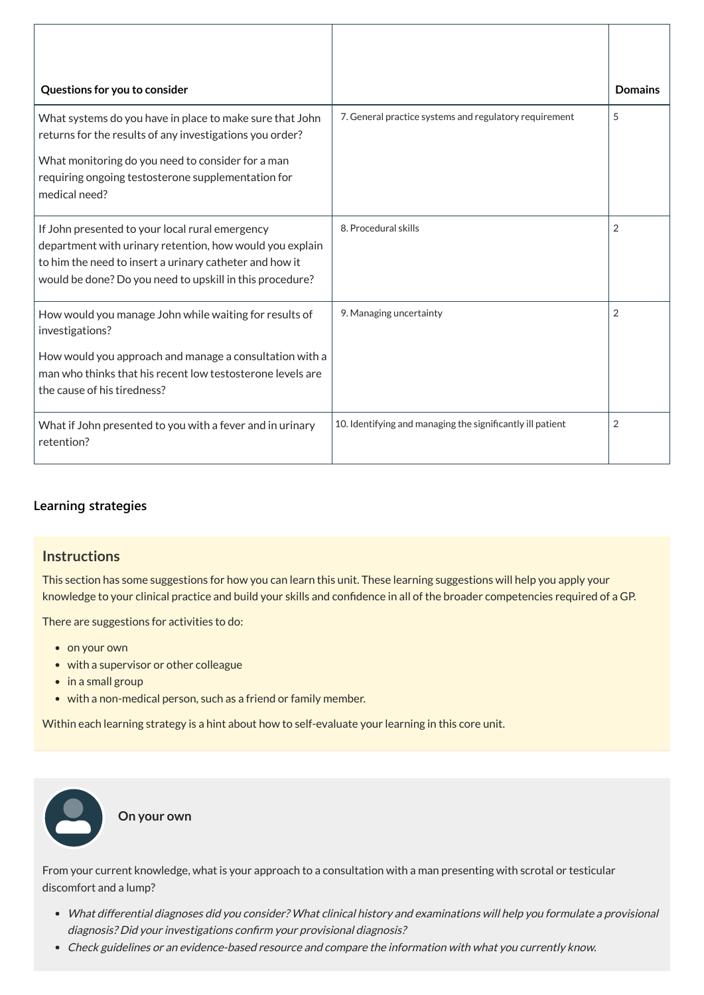| Questions for you to consider                                                                                                                                                                                                      |                                                            | <b>Domains</b> |
|------------------------------------------------------------------------------------------------------------------------------------------------------------------------------------------------------------------------------------|------------------------------------------------------------|----------------|
| What systems do you have in place to make sure that John<br>returns for the results of any investigations you order?<br>What monitoring do you need to consider for a man                                                          | 7. General practice systems and regulatory requirement     | 5              |
| requiring ongoing testosterone supplementation for<br>medical need?                                                                                                                                                                |                                                            |                |
| If John presented to your local rural emergency<br>department with urinary retention, how would you explain<br>to him the need to insert a urinary catheter and how it<br>would be done? Do you need to upskill in this procedure? | 8. Procedural skills                                       | 2              |
| How would you manage John while waiting for results of<br>investigations?                                                                                                                                                          | 9. Managing uncertainty                                    | 2              |
| How would you approach and manage a consultation with a<br>man who thinks that his recent low testosterone levels are<br>the cause of his tiredness?                                                                               |                                                            |                |
| What if John presented to you with a fever and in urinary<br>retention?                                                                                                                                                            | 10. Identifying and managing the significantly ill patient | 2              |

### **[Learning strategies](javascript:void(0))**

#### **Instructions**

This section has some suggestions for how you can learn this unit. These learning suggestions will help you apply your knowledge to your clinical practice and build your skills and confidence in all of the broader competencies required of a GP.

There are suggestions for activities to do:

- on your own
- with a supervisor or other colleague
- in a small group
- with a non-medical person, such as a friend or family member.

Within each learning strategy is a hint about how to self-evaluate your learning in this core unit.

From your current knowledge, what is your approach to a consultation with a man presenting with scrotal or testicular discomfort and a lump?



- What differential diagnoses did you consider? What clinical history and examinations will help you formulate <sup>a</sup> provisional diagnosis? Did your investigations confirm your provisional diagnosis?
- Check guidelines or an evidence-based resource and compare the information with what you currently know.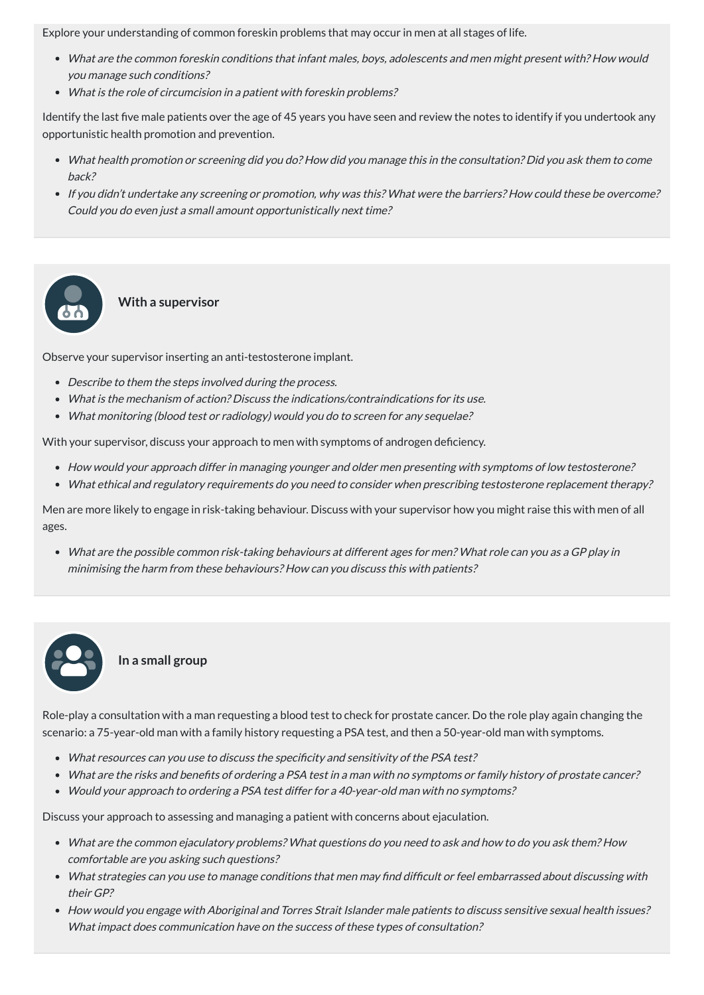Explore your understanding of common foreskin problems that may occur in men at all stages of life.

- What are the common foreskin conditions that infant males, boys, adolescents and men might present with? How would you manage such conditions?
- What is the role of circumcision in <sup>a</sup> patient with foreskin problems?

Identify the last five male patients over the age of 45 years you have seen and review the notes to identify if you undertook any opportunistic health promotion and prevention.

- Describe to them the steps involved during the process.
- What is the mechanism of action? Discuss the indications/contraindications for its use.
- What monitoring (blood test or radiology) would you do to screen for any sequelae?
- What health promotion or screening did you do? How did you manage this in the consultation? Did you ask them to come back?
- If you didn't undertake any screening or promotion, why was this? What were the barriers? How could these be overcome? Could you do even just <sup>a</sup> small amount opportunistically next time?

**With a supervisor**

Observe your supervisor inserting an anti-testosterone implant.

With your supervisor, discuss your approach to men with symptoms of androgen deficiency.

- How would your approach differ in managing younger and older men presenting with symptoms of low testosterone?
- What ethical and regulatory requirements do you need to consider when prescribing testosterone replacement therapy?

Men are more likely to engage in risk-taking behaviour. Discuss with your supervisor how you might raise this with men of all ages.

What are the possible common risk-taking behaviours at different ages for men? What role can you as <sup>a</sup> GP play in minimising the harm from these behaviours? How can you discuss this with patients?



**In a small group**

Role-play a consultation with a man requesting a blood test to check for prostate cancer. Do the role play again changing the scenario: a 75-year-old man with a family history requesting a PSA test, and then a 50-year-old man with symptoms.

- What resources can you use to discuss the specificity and sensitivity of the PSA test?
- What are the risks and benefits of ordering <sup>a</sup> PSA test in <sup>a</sup> man with no symptoms or family history of prostate cancer?
- Would your approach to ordering <sup>a</sup> PSA test differ for <sup>a</sup> 40-year-old man with no symptoms?

Discuss your approach to assessing and managing a patient with concerns about ejaculation.

- What are the common ejaculatory problems? What questions do you need to ask and how to do you ask them? How comfortable are you asking such questions?
- What strategies can you use to manage conditions that men may find difficult or feel embarrassed about discussing with their GP?
- How would you engage with Aboriginal and Torres Strait Islander male patients to discuss sensitive sexual health issues? What impact does communication have on the success of these types of consultation?

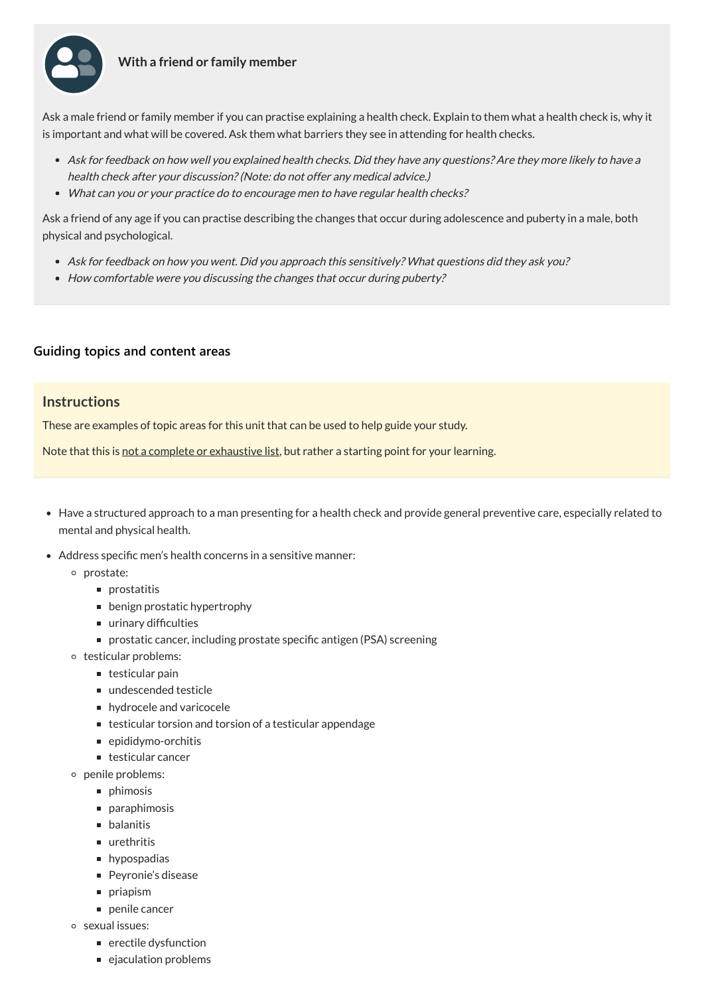

## **With a friend or family member**

Ask a male friend or family member if you can practise explaining a health check. Explain to them what a health check is, why it is important and what will be covered. Ask them what barriers they see in attending for health checks.

- Ask for feedback on how you went. Did you approach this sensitively? What questions did they ask you?
- How comfortable were you discussing the changes that occur during puberty?
- Ask for feedback on how well you explained health checks. Did they have any questions? Are they more likely to have <sup>a</sup> health check after your discussion?(Note: do not offer any medical advice.)
- What can you or your practice do to encourage men to have regular health checks?

- Have a structured approach to a man presenting for a health check and provide general preventive care, especially related to mental and physical health.
- Address specific men's health concerns in a sensitive manner:
	- prostate:
		- prostatitis
		- benign prostatic hypertrophy
		- urinary difficulties
		- prostatic cancer, including prostate specific antigen (PSA) screening
	- o testicular problems:
		- $\blacksquare$  testicular pain
		- undescended testicle
		- hydrocele and varicocele
		- $\blacksquare$  testicular torsion and torsion of a testicular appendage
		- epididymo-orchitis
		- testicular cancer
	- penile problems:
		- **phimosis**
		- paraphimosis
		- **balanitis**
		- urethritis
		- **hypospadias**
		- **Peyronie's disease**
		- priapism
		- penile cancer
	- sexual issues:
		- $\blacksquare$  erectile dysfunction
		- ejaculation problems

Ask a friend of any age if you can practise describing the changes that occur during adolescence and puberty in a male, both physical and psychological.

#### **[Guiding topics and content areas](javascript:void(0))**

#### **Instructions**

These are examples of topic areas for this unit that can be used to help guide your study.

Note that this is not a complete or exhaustive list, but rather a starting point for your learning.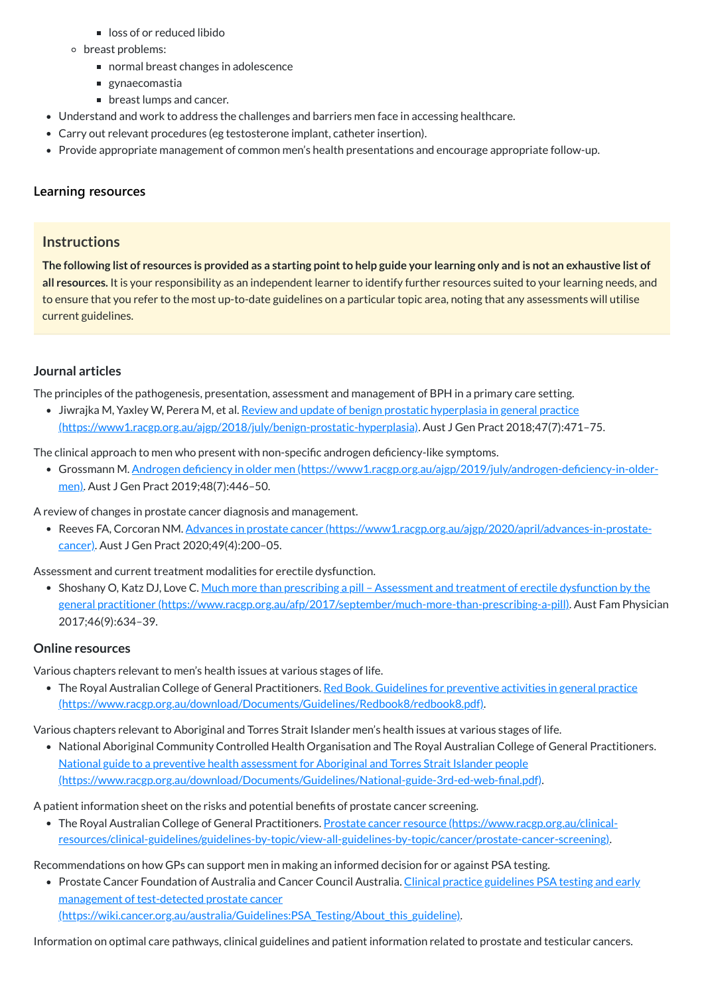- **IDOSS** of or reduced libido
- breast problems:
	- normal breast changes in adolescence
	- gynaecomastia
	- **Deast lumps and cancer.**
- Understand and work to address the challenges and barriers men face in accessing healthcare.
- Carry out relevant procedures (eg testosterone implant, catheter insertion).
- Provide appropriate management of common men's health presentations and encourage appropriate follow-up.

## **[Learning resources](javascript:void(0))**

The following list of resources is provided as a starting point to help guide your learning only and is not an exhaustive list of **all resources.** It is your responsibility as an independent learner to identify further resources suited to your learning needs, and to ensure that you refer to the most up-to-date guidelines on a particular topic area, noting that any assessments will utilise current guidelines.

## **Instructions**

• Jiwrajka M, Yaxley W, Perera M, et al. Review and update of benign prostatic hyperplasia in general practice [\(https://www1.racgp.org.au/ajgp/2018/july/benign-prostatic-hyperplasia\).](https://www1.racgp.org.au/ajgp/2018/july/benign-prostatic-hyperplasia) Aust J Gen Pract 2018;47(7):471–75.

Grossmann M. Androgen deficiency in older men [\(https://www1.racgp.org.au/ajgp/2019/july/androgen-deficiency-in-older](https://www1.racgp.org.au/ajgp/2019/july/androgen-deficiency-in-older-men)men). Aust J Gen Pract 2019;48(7):446-50.

• Reeves FA, Corcoran NM. Advances in prostate cancer [\(https://www1.racgp.org.au/ajgp/2020/april/advances-in-prostate](https://www1.racgp.org.au/ajgp/2020/april/advances-in-prostate-cancer)cancer). Aust J Gen Pract 2020;49(4):200–05.

## **Journal articles**

The principles of the pathogenesis, presentation, assessment and management of BPH in a primary care setting.

• Shoshany O, Katz DJ, Love C. <u>Much more than prescribing a pill – Assessment and treatment of erectile dysfunction by the</u> general practitioner [\(https://www.racgp.org.au/afp/2017/september/much-more-than-prescribing-a-pill\).](https://www.racgp.org.au/afp/2017/september/much-more-than-prescribing-a-pill) Aust Fam Physician 2017;46(9):634–39.

• The Royal Australian College of General Practitioners. Red Book. Guidelines for preventive activities in general practice [\(https://www.racgp.org.au/download/Documents/Guidelines/Redbook8/redbook8.pdf\).](https://www.racgp.org.au/download/Documents/Guidelines/Redbook8/redbook8.pdf)

The clinical approach to men who present with non-specific androgen deficiency-like symptoms.

A review of changes in prostate cancer diagnosis and management.

• Prostate Cancer Foundation of Australia and Cancer Council Australia. Clinical practice guidelines PSA testing and early management of test-detected prostate cancer

Assessment and current treatment modalities for erectile dysfunction.

## **Online resources**

Various chapters relevant to men's health issues at various stages of life.

Various chapters relevant to Aboriginal and Torres Strait Islander men's health issues at various stages of life.

National Aboriginal Community Controlled Health Organisation and The Royal Australian College of General Practitioners.

National guide to a preventive health assessment for Aboriginal and Torres Strait Islander people [\(https://www.racgp.org.au/download/Documents/Guidelines/National-guide-3rd-ed-web-final.pdf\).](https://www.racgp.org.au/download/Documents/Guidelines/National-guide-3rd-ed-web-final.pdf)

A patient information sheet on the risks and potential benefits of prostate cancer screening.

The Royal Australian College of General Practitioners. Prostate cancer resource (https://www.racgp.org.au/clinical[resources/clinical-guidelines/guidelines-by-topic/view-all-guidelines-by-topic/cancer/prostate-cancer-screening\).](https://www.racgp.org.au/clinical-resources/clinical-guidelines/guidelines-by-topic/view-all-guidelines-by-topic/cancer/prostate-cancer-screening)

Recommendations on how GPs can support men in making an informed decision for or against PSA testing.

[\(https://wiki.cancer.org.au/australia/Guidelines:PSA\\_Testing/About\\_this\\_guideline\).](https://wiki.cancer.org.au/australia/Guidelines:PSA_Testing/About_this_guideline)

Information on optimal care pathways, clinical guidelines and patient information related to prostate and testicular cancers.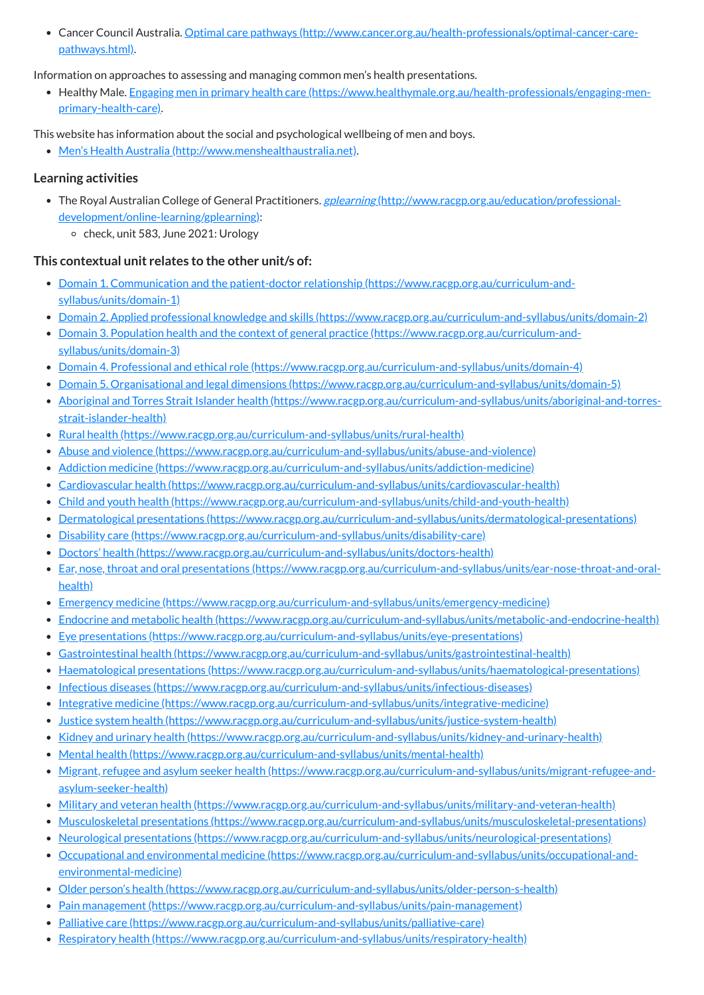Cancer Council Australia. Optimal care pathways [\(http://www.cancer.org.au/health-professionals/optimal-cancer-care](http://www.cancer.org.au/health-professionals/optimal-cancer-care-pathways.html)pathways.html).

Information on approaches to assessing and managing common men's health presentations.

Healthy Male. Engaging men in primary health care [\(https://www.healthymale.org.au/health-professionals/engaging-men](https://www.healthymale.org.au/health-professionals/engaging-men-primary-health-care)primary-health-care).

- Domain 1. Communication and the patient-doctor relationship [\(https://www.racgp.org.au/curriculum-and](https://www.racgp.org.au/curriculum-and-syllabus/units/domain-1)syllabus/units/domain-1)
- Domain 2. Applied professional knowledge and skills [\(https://www.racgp.org.au/curriculum-and-syllabus/units/domain-2\)](https://www.racgp.org.au/curriculum-and-syllabus/units/domain-2)
- Domain 3. Population health and the context of general practice [\(https://www.racgp.org.au/curriculum-and](https://www.racgp.org.au/curriculum-and-syllabus/units/domain-3)syllabus/units/domain-3)
- Domain 4. Professional and ethical role [\(https://www.racgp.org.au/curriculum-and-syllabus/units/domain-4\)](https://www.racgp.org.au/curriculum-and-syllabus/units/domain-4)
- Domain 5. Organisational and legal dimensions [\(https://www.racgp.org.au/curriculum-and-syllabus/units/domain-5\)](https://www.racgp.org.au/curriculum-and-syllabus/units/domain-5)
- Aboriginal and Torres Strait Islander health [\(https://www.racgp.org.au/curriculum-and-syllabus/units/aboriginal-and-torres](https://www.racgp.org.au/curriculum-and-syllabus/units/aboriginal-and-torres-strait-islander-health)strait-islander-health)
- Rural health [\(https://www.racgp.org.au/curriculum-and-syllabus/units/rural-health\)](https://www.racgp.org.au/curriculum-and-syllabus/units/rural-health)
- Abuse and violence [\(https://www.racgp.org.au/curriculum-and-syllabus/units/abuse-and-violence\)](https://www.racgp.org.au/curriculum-and-syllabus/units/abuse-and-violence)
- Addiction medicine [\(https://www.racgp.org.au/curriculum-and-syllabus/units/addiction-medicine\)](https://www.racgp.org.au/curriculum-and-syllabus/units/addiction-medicine)
- Cardiovascular health [\(https://www.racgp.org.au/curriculum-and-syllabus/units/cardiovascular-health\)](https://www.racgp.org.au/curriculum-and-syllabus/units/cardiovascular-health)
- Child and youth health [\(https://www.racgp.org.au/curriculum-and-syllabus/units/child-and-youth-health\)](https://www.racgp.org.au/curriculum-and-syllabus/units/child-and-youth-health)
- Dermatological presentations [\(https://www.racgp.org.au/curriculum-and-syllabus/units/dermatological-presentations\)](https://www.racgp.org.au/curriculum-and-syllabus/units/dermatological-presentations)
- Disability care [\(https://www.racgp.org.au/curriculum-and-syllabus/units/disability-care\)](https://www.racgp.org.au/curriculum-and-syllabus/units/disability-care)
- Doctors' health [\(https://www.racgp.org.au/curriculum-and-syllabus/units/doctors-health\)](https://www.racgp.org.au/curriculum-and-syllabus/units/doctors-health)
- Ear, nose, throat and oral presentations [\(https://www.racgp.org.au/curriculum-and-syllabus/units/ear-nose-throat-and-oral](https://www.racgp.org.au/curriculum-and-syllabus/units/ear-nose-throat-and-oral-health)health)
- Emergency medicine [\(https://www.racgp.org.au/curriculum-and-syllabus/units/emergency-medicine\)](https://www.racgp.org.au/curriculum-and-syllabus/units/emergency-medicine)
- Endocrine and metabolic health [\(https://www.racgp.org.au/curriculum-and-syllabus/units/metabolic-and-endocrine-health\)](https://www.racgp.org.au/curriculum-and-syllabus/units/metabolic-and-endocrine-health)
- Eye presentations [\(https://www.racgp.org.au/curriculum-and-syllabus/units/eye-presentations\)](https://www.racgp.org.au/curriculum-and-syllabus/units/eye-presentations)
- Gastrointestinal health [\(https://www.racgp.org.au/curriculum-and-syllabus/units/gastrointestinal-health\)](https://www.racgp.org.au/curriculum-and-syllabus/units/gastrointestinal-health)
- Haematological presentations [\(https://www.racgp.org.au/curriculum-and-syllabus/units/haematological-presentations\)](https://www.racgp.org.au/curriculum-and-syllabus/units/haematological-presentations)
- Infectious diseases [\(https://www.racgp.org.au/curriculum-and-syllabus/units/infectious-diseases\)](https://www.racgp.org.au/curriculum-and-syllabus/units/infectious-diseases)
- Integrative medicine [\(https://www.racgp.org.au/curriculum-and-syllabus/units/integrative-medicine\)](https://www.racgp.org.au/curriculum-and-syllabus/units/integrative-medicine)
- Justice system health [\(https://www.racgp.org.au/curriculum-and-syllabus/units/justice-system-health\)](https://www.racgp.org.au/curriculum-and-syllabus/units/justice-system-health)
- Kidney and urinary health [\(https://www.racgp.org.au/curriculum-and-syllabus/units/kidney-and-urinary-health\)](https://www.racgp.org.au/curriculum-and-syllabus/units/kidney-and-urinary-health)
- Mental health [\(https://www.racgp.org.au/curriculum-and-syllabus/units/mental-health\)](https://www.racgp.org.au/curriculum-and-syllabus/units/mental-health)
- Migrant, refugee and asylum seeker health [\(https://www.racgp.org.au/curriculum-and-syllabus/units/migrant-refugee-and](https://www.racgp.org.au/curriculum-and-syllabus/units/migrant-refugee-and-asylum-seeker-health)asylum-seeker-health)
- Military and veteran health [\(https://www.racgp.org.au/curriculum-and-syllabus/units/military-and-veteran-health\)](https://www.racgp.org.au/curriculum-and-syllabus/units/military-and-veteran-health)
- Musculoskeletal presentations [\(https://www.racgp.org.au/curriculum-and-syllabus/units/musculoskeletal-presentations\)](https://www.racgp.org.au/curriculum-and-syllabus/units/musculoskeletal-presentations)
- Neurological presentations [\(https://www.racgp.org.au/curriculum-and-syllabus/units/neurological-presentations\)](https://www.racgp.org.au/curriculum-and-syllabus/units/neurological-presentations)
- Occupational and environmental medicine [\(https://www.racgp.org.au/curriculum-and-syllabus/units/occupational-and](https://www.racgp.org.au/curriculum-and-syllabus/units/occupational-and-environmental-medicine)environmental-medicine)
- Older person's health [\(https://www.racgp.org.au/curriculum-and-syllabus/units/older-person-s-health\)](https://www.racgp.org.au/curriculum-and-syllabus/units/older-person-s-health)
- Pain management [\(https://www.racgp.org.au/curriculum-and-syllabus/units/pain-management\)](https://www.racgp.org.au/curriculum-and-syllabus/units/pain-management)
- Palliative care [\(https://www.racgp.org.au/curriculum-and-syllabus/units/palliative-care\)](https://www.racgp.org.au/curriculum-and-syllabus/units/palliative-care)  $\bullet$
- Respiratory health [\(https://www.racgp.org.au/curriculum-and-syllabus/units/respiratory-health\)](https://www.racgp.org.au/curriculum-and-syllabus/units/respiratory-health)

This website has information about the social and psychological wellbeing of men and boys.

Men's Health Australia [\(http://www.menshealthaustralia.net\)](http://www.menshealthaustralia.net/).

### **Learning activities**

- The Royal Australian College of General Practitioners. *gplearning* [\(http://www.racgp.org.au/education/professional](http://www.racgp.org.au/education/professional-development/online-learning/gplearning)development/online-learning/gplearning):
	- o check, unit 583, June 2021: Urology

### **This contextual unit relates to the other unit/s of:**